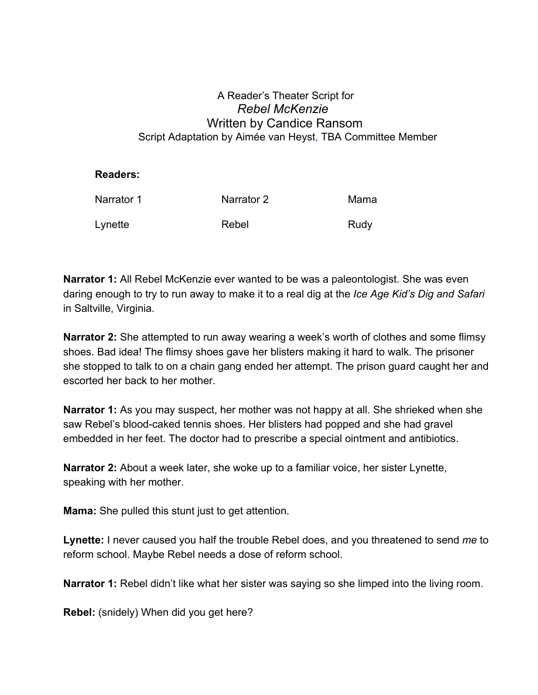## A Reader's Theater Script for *Rebel McKenzie* Written by Candice Ransom Script Adaptation by Aimée van Heyst, TBA Committee Member

## **Readers:**

| Narrator 1 | Narrator 2 | Mama |
|------------|------------|------|
| Lynette    | Rebel      | Rudy |

**Narrator 1:** All Rebel McKenzie ever wanted to be was a paleontologist. She was even daring enough to try to run away to make it to a real dig at the *Ice Age Kid's Dig and Safari* in Saltville, Virginia.

**Narrator 2:** She attempted to run away wearing a week's worth of clothes and some flimsy shoes. Bad idea! The flimsy shoes gave her blisters making it hard to walk. The prisoner she stopped to talk to on a chain gang ended her attempt. The prison guard caught her and escorted her back to her mother.

**Narrator 1:** As you may suspect, her mother was not happy at all. She shrieked when she saw Rebel's blood-caked tennis shoes. Her blisters had popped and she had gravel embedded in her feet. The doctor had to prescribe a special ointment and antibiotics.

**Narrator 2:** About a week later, she woke up to a familiar voice, her sister Lynette, speaking with her mother.

**Mama:** She pulled this stunt just to get attention.

**Lynette:** I never caused you half the trouble Rebel does, and you threatened to send *me* to reform school. Maybe Rebel needs a dose of reform school.

**Narrator 1:** Rebel didn't like what her sister was saying so she limped into the living room.

**Rebel:** (snidely) When did you get here?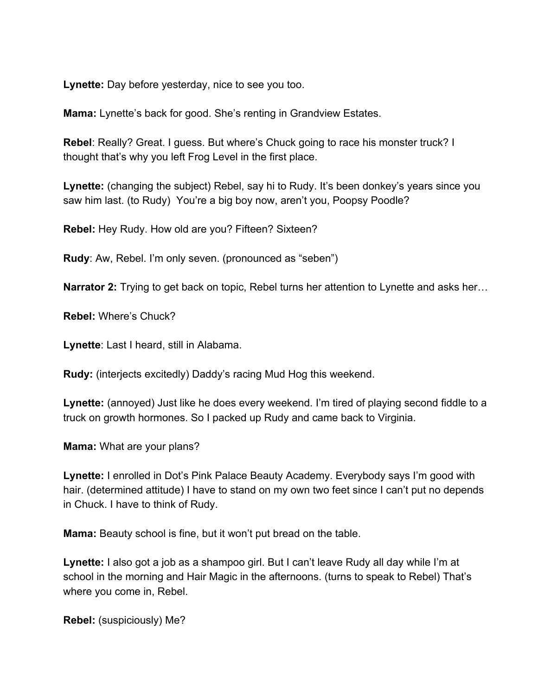**Lynette:** Day before yesterday, nice to see you too.

**Mama:** Lynette's back for good. She's renting in Grandview Estates.

**Rebel**: Really? Great. I guess. But where's Chuck going to race his monster truck? I thought that's why you left Frog Level in the first place.

**Lynette:** (changing the subject) Rebel, say hi to Rudy. It's been donkey's years since you saw him last. (to Rudy) You're a big boy now, aren't you, Poopsy Poodle?

**Rebel:** Hey Rudy. How old are you? Fifteen? Sixteen?

**Rudy**: Aw, Rebel. I'm only seven. (pronounced as "seben")

**Narrator 2:** Trying to get back on topic, Rebel turns her attention to Lynette and asks her…

**Rebel:** Where's Chuck?

**Lynette**: Last I heard, still in Alabama.

**Rudy:** (interjects excitedly) Daddy's racing Mud Hog this weekend.

**Lynette:** (annoyed) Just like he does every weekend. I'm tired of playing second fiddle to a truck on growth hormones. So I packed up Rudy and came back to Virginia.

**Mama:** What are your plans?

**Lynette:** I enrolled in Dot's Pink Palace Beauty Academy. Everybody says I'm good with hair. (determined attitude) I have to stand on my own two feet since I can't put no depends in Chuck. I have to think of Rudy.

**Mama:** Beauty school is fine, but it won't put bread on the table.

**Lynette:** I also got a job as a shampoo girl. But I can't leave Rudy all day while I'm at school in the morning and Hair Magic in the afternoons. (turns to speak to Rebel) That's where you come in, Rebel.

**Rebel:** (suspiciously) Me?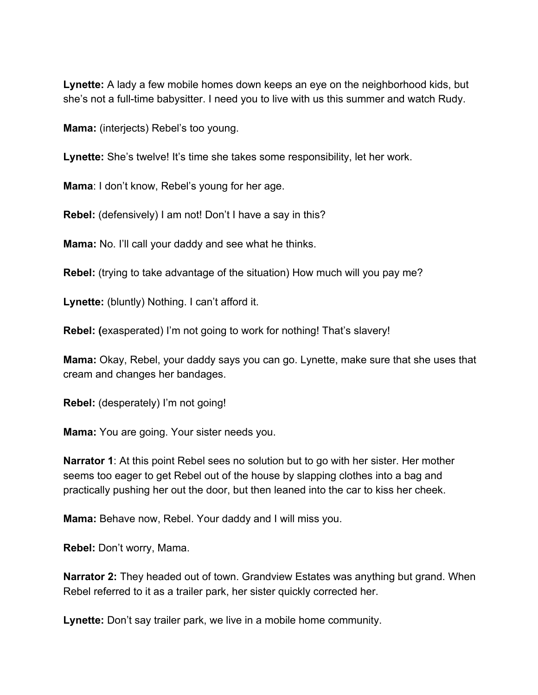**Lynette:** A lady a few mobile homes down keeps an eye on the neighborhood kids, but she's not a full-time babysitter. I need you to live with us this summer and watch Rudy.

**Mama:** (interjects) Rebel's too young.

Lynette: She's twelve! It's time she takes some responsibility, let her work.

**Mama**: I don't know, Rebel's young for her age.

**Rebel:** (defensively) I am not! Don't I have a say in this?

**Mama:** No. I'll call your daddy and see what he thinks.

**Rebel:** (trying to take advantage of the situation) How much will you pay me?

**Lynette:** (bluntly) Nothing. I can't afford it.

**Rebel: (**exasperated) I'm not going to work for nothing! That's slavery!

**Mama:** Okay, Rebel, your daddy says you can go. Lynette, make sure that she uses that cream and changes her bandages.

**Rebel:** (desperately) I'm not going!

**Mama:** You are going. Your sister needs you.

**Narrator 1**: At this point Rebel sees no solution but to go with her sister. Her mother seems too eager to get Rebel out of the house by slapping clothes into a bag and practically pushing her out the door, but then leaned into the car to kiss her cheek.

**Mama:** Behave now, Rebel. Your daddy and I will miss you.

**Rebel:** Don't worry, Mama.

**Narrator 2:** They headed out of town. Grandview Estates was anything but grand. When Rebel referred to it as a trailer park, her sister quickly corrected her.

**Lynette:** Don't say trailer park, we live in a mobile home community.